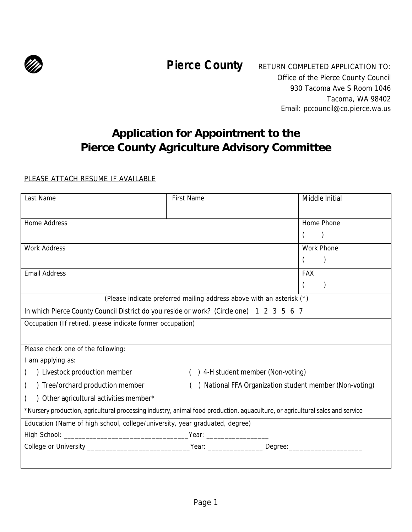

**Pierce County** RETURN COMPLETED APPLICATION TO: Office of the Pierce County Council 930 Tacoma Ave S Room 1046 Tacoma, WA 98402 Email: pccouncil@co.pierce.wa.us

# **Application for Appointment to the Pierce County Agriculture Advisory Committee**

#### PLEASE ATTACH RESUME IF AVAILABLE

| Last Name                                                                                                                     | First Name                        | Middle Initial                                        |  |  |
|-------------------------------------------------------------------------------------------------------------------------------|-----------------------------------|-------------------------------------------------------|--|--|
|                                                                                                                               |                                   |                                                       |  |  |
| Home Address                                                                                                                  |                                   | Home Phone                                            |  |  |
|                                                                                                                               |                                   |                                                       |  |  |
| <b>Work Address</b>                                                                                                           |                                   | Work Phone                                            |  |  |
|                                                                                                                               |                                   | $\mathcal{C}$                                         |  |  |
| <b>Email Address</b>                                                                                                          |                                   | <b>FAX</b>                                            |  |  |
|                                                                                                                               |                                   |                                                       |  |  |
| (Please indicate preferred mailing address above with an asterisk (*)                                                         |                                   |                                                       |  |  |
| In which Pierce County Council District do you reside or work? (Circle one) 1 2 3 5 6 7                                       |                                   |                                                       |  |  |
| Occupation (If retired, please indicate former occupation)                                                                    |                                   |                                                       |  |  |
|                                                                                                                               |                                   |                                                       |  |  |
| Please check one of the following:                                                                                            |                                   |                                                       |  |  |
| I am applying as:                                                                                                             |                                   |                                                       |  |  |
| ) Livestock production member                                                                                                 | ) 4-H student member (Non-voting) |                                                       |  |  |
| ) Tree/orchard production member                                                                                              |                                   | National FFA Organization student member (Non-voting) |  |  |
| Other agricultural activities member*                                                                                         |                                   |                                                       |  |  |
| *Nursery production, agricultural processing industry, animal food production, aquaculture, or agricultural sales and service |                                   |                                                       |  |  |
| Education (Name of high school, college/university, year graduated, degree)                                                   |                                   |                                                       |  |  |
|                                                                                                                               |                                   |                                                       |  |  |
|                                                                                                                               |                                   |                                                       |  |  |
|                                                                                                                               |                                   |                                                       |  |  |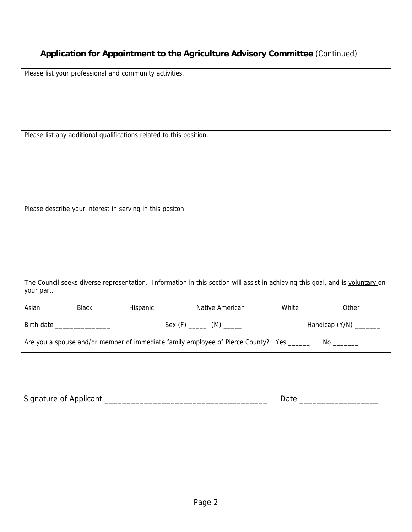### **Application for Appointment to the Agriculture Advisory Committee** (Continued)

| Please list your professional and community activities.                                                                       |
|-------------------------------------------------------------------------------------------------------------------------------|
|                                                                                                                               |
|                                                                                                                               |
|                                                                                                                               |
|                                                                                                                               |
| Please list any additional qualifications related to this position.                                                           |
|                                                                                                                               |
|                                                                                                                               |
|                                                                                                                               |
|                                                                                                                               |
|                                                                                                                               |
| Please describe your interest in serving in this positon.                                                                     |
|                                                                                                                               |
|                                                                                                                               |
|                                                                                                                               |
|                                                                                                                               |
|                                                                                                                               |
| The Council seeks diverse representation. Information in this section will assist in achieving this goal, and is voluntary on |
| your part.                                                                                                                    |
| Asian _________ Black ________ Hispanic ________ Native American _______ White ________ Other ______                          |
| Handicap (Y/N) ________<br>Birth date ___________________                                                                     |
| Are you a spouse and/or member of immediate family employee of Pierce County? Yes _____                                       |

| Signature of A<br>Applicant |  |
|-----------------------------|--|
|                             |  |
|                             |  |